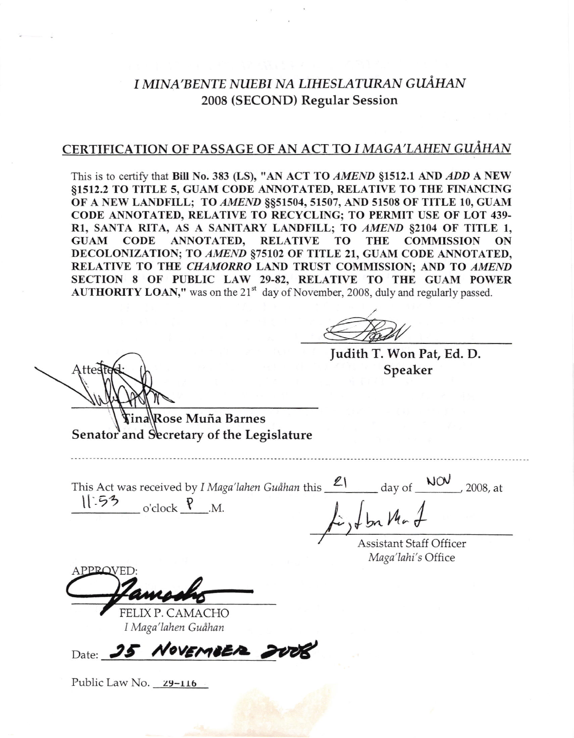# I MINA'BENTE NUEBI NA LIHESLATURAN GUÅHAN 2008 (SECOND) Regular Session

## CERTIFICATION OF PASSAGE OF AN ACT TO I MAGA'LAHEN GUÅHAN

This is to certify that Bill No. 383 (LS), "AN ACT TO AMEND §1512.1 AND ADD A NEW ST5T2.2 TO TITLE 5, GUAM CODE ANNOTATED, RELATIVE TO THE FINANCING OF A NEW LANDFILL; TO AMEND §§51504, 51507, AND 51508 OF TITLE 10, GUAM CODE ANNOTATED, RELATIVE TO RECYCLING; TO PERMIT USE OF LOT 439-Rl, SANTA RITA, AS A SANITARY LANDFILL; TO AMEND 82104 OF TITLE 1, GUAM CODE ANNOTATED, RELATIVE TO THE COMMISSION ON DECOLONIZATION; TO AMEND §75102 OF TITLE 21, GUAM CODE ANNOTATED, RELATIVE TO THE CHAMORRO LAND TRUST COMMISSION; AND TO AMEND SECTION 8 OF PUBLIC LAW 29-82, RELATIVE TO THE GUAM POWER **AUTHORITY LOAN,"** was on the 21<sup>st</sup> day of November, 2008, duly and regularly passed.

judith T. Won Pat, Ed. D. Speaker

tte

Rose Muña Barnes I Senator and Secretary of the Legislature

This Act was received by *I Maga'lahen Guåhan* this  $\int_{\text{Clock}}$   $\int_{\text{Clock}}$   $\int_{\text{C.}}$  $21$  day of  $\frac{N\text{O}}{2008}$ , at  $_{\rm o'clock}$   $_{\rm N.}$  $\lambda$  J by Ma 1

Assistant Staff Officer Maga'lahi's Office

D

FELIXP. CAMACHO I Maga'lahen Guåhan

Date: 25 NOVEMBER

Public Law No. 29-116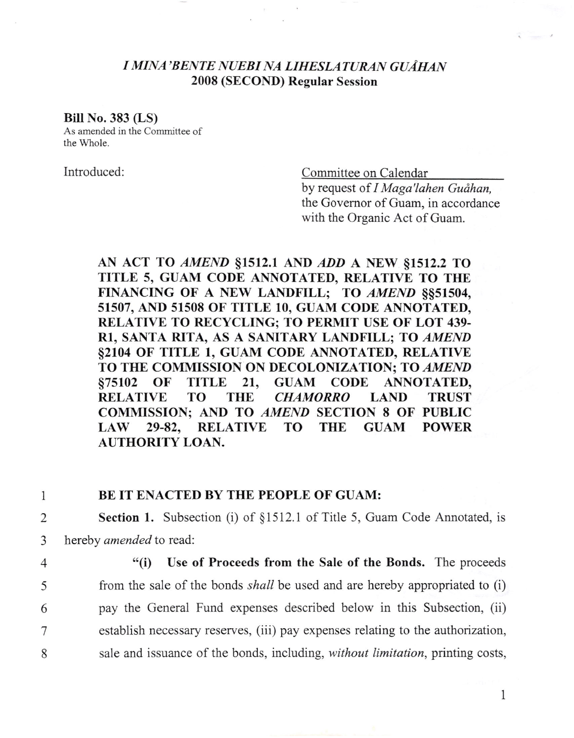## I MINA'BENTE NUEBI NA LIHESLATURAN GUAHAN 2008 (SECOND) Regular Session

#### Bill No.383 (LS)

As amended in the Committee of the Whole.

Introduced: Committee on Calendar

by request of I Maga'lahen Guåhan, the Govemor of Guam, in accordance with the Organic Act of Guam.

AN ACT TO AMEND §1512.1 AND ADD A NEW §1512.2 TO TITLE 5, GUAM CODE ANNOTATED, RELATIVE TO THE FINANCING OF A NEW LANDFILL; TO AMEND \$\$51504, 51507, AND 51508 OF TITLE 10, GUAM CODE ANNOTATED, RELATIVE TO RECYCLING; TO PERMIT USE OF LOT 439- RI, SANTA RITA, AS A SANITARY LANDFILL; TO AMEND \$2104 OF TITLE l, GUAM CODE ANNOTATED, RELATIVE TO THE COMMISSION ON DECOLONIZATION; TO AMEND §75102 OF TITLE 21, GUAM CODE ANNOTATED,<br>RELATIVE TO THE *CHAMORRO* LAND TRUST **CHAMORRO** COMMISSION; AND TO AMEND SECTION 8 OF PUBLIC LAW 29-82, RELATIVE TO THE GUAM POWER AUTHORITY LOAN.

### 1 BE IT ENACTED BY THE PEOPLE OF GUAM:

2 **Section 1.** Subsection (i) of §1512.1 of Title 5, Guam Code Annotated, is 3 hereby *amended* to read:

4 "(i) Use of Proceeds from the Sale of the Bonds. The proceeds from the sale of the bonds shall be used and are hereby appropriated to (i) pay the General Fund expenses described below in this Subsection, (ii) establish necessary reserves, (iii) pay expenses relating to the authorization, sale and issuance of the bonds, including, without limitation, printing costs,